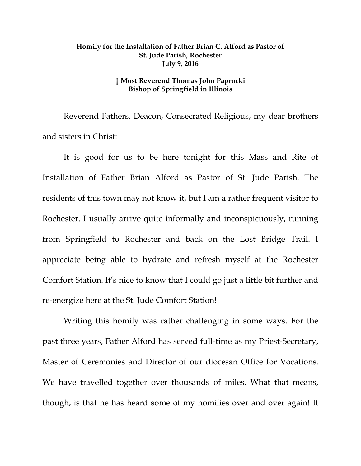## **Homily for the Installation of Father Brian C. Alford as Pastor of St. Jude Parish, Rochester July 9, 2016**

## **† Most Reverend Thomas John Paprocki Bishop of Springfield in Illinois**

Reverend Fathers, Deacon, Consecrated Religious, my dear brothers and sisters in Christ:

It is good for us to be here tonight for this Mass and Rite of Installation of Father Brian Alford as Pastor of St. Jude Parish. The residents of this town may not know it, but I am a rather frequent visitor to Rochester. I usually arrive quite informally and inconspicuously, running from Springfield to Rochester and back on the Lost Bridge Trail. I appreciate being able to hydrate and refresh myself at the Rochester Comfort Station. It's nice to know that I could go just a little bit further and re-energize here at the St. Jude Comfort Station!

Writing this homily was rather challenging in some ways. For the past three years, Father Alford has served full-time as my Priest-Secretary, Master of Ceremonies and Director of our diocesan Office for Vocations. We have travelled together over thousands of miles. What that means, though, is that he has heard some of my homilies over and over again! It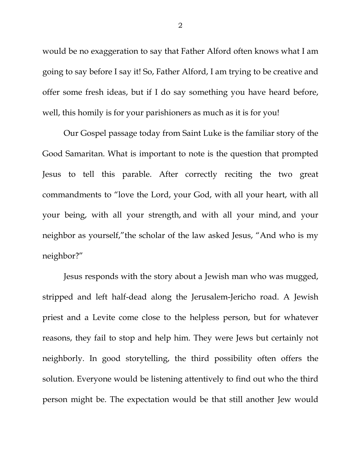<span id="page-1-0"></span>would be no exaggeration to say that Father Alford often knows what I am going to say before I say it! So, Father Alford, I am trying to be creative and offer some fresh ideas, but if I do say something you have heard before, well, this homily is for your parishioners as much as it is for you!

<span id="page-1-1"></span>Our Gospel passage today from Saint Luke is the familiar story of the Good Samaritan. What is important to note is the question that prompted Jesus to tell this parable. After correctly reciting the two great commandments to "love the Lord, your God, with all your heart, with all your being, with all your strength, and with all your mind, and your neighbor as yourself,"the scholar of the law asked Jesus, "And who is my neighbor?"

Jesus responds with the story about a Jewish man who was mugged, stripped and left half-dead along the Jerusalem-Jericho road. A Jewish priest and a Levite come close to the helpless person, but for whatever reasons, they fail to stop and help him. They were Jews but certainly not neighborly. In good storytelling, the third possibility often offers the solution. Everyone would be listening attentively to find out who the third person might be. The expectation would be that still another Jew would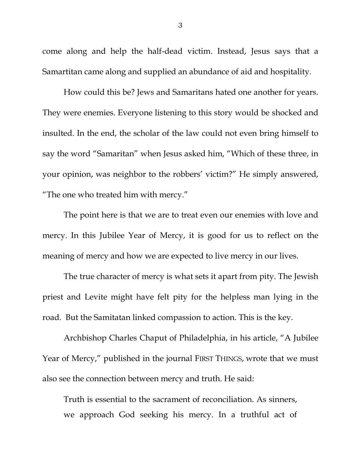come along and help the half-dead victim. Instead, Jesus says that a Samartitan came along and supplied an abundance of aid and hospitality.

How could this be? Jews and Samaritans hated one another for years. They were enemies. Everyone listening to this story would be shocked and insulted. In the end, the scholar of the law could not even bring himself to say the word "Samaritan" when Jesus asked him, "Which of these three, in your opinion, was neighbor to the robbers' victim?" He simply answered, "The one who treated him with mercy."

The point here is that we are to treat even our enemies with love and mercy. In this Jubilee Year of Mercy, it is good for us to reflect on the meaning of mercy and how we are expected to live mercy in our lives.

The true character of mercy is what sets it apart from pity. The Jewish priest and Levite might have felt pity for the helpless man lying in the road. But the Samitatan linked compassion to action. This is the key.

Archbishop Charles Chaput of Philadelphia, in his article, "A Jubilee Year of Mercy," published in the journal FIRST THINGS, wrote that we must also see the connection between mercy and truth. He said:

Truth is essential to the sacrament of reconciliation. As sinners, we approach God seeking his mercy. In a truthful act of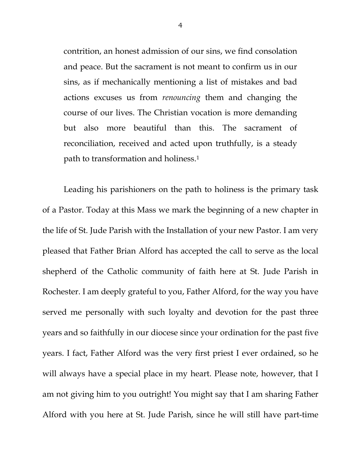contrition, an honest admission of our sins, we find consolation and peace. But the sacrament is not meant to confirm us in our sins, as if mechanically mentioning a list of mistakes and bad actions excuses us from *renouncing* them and changing the course of our lives. The Christian vocation is more demanding but also more beautiful than this. The sacrament of reconciliation, received and acted upon truthfully, is a steady path to transformation and holiness[.1](#page-1-0)

Leading his parishioners on the path to holiness is the primary task of a Pastor. Today at this Mass we mark the beginning of a new chapter in the life of St. Jude Parish with the Installation of your new Pastor. I am very pleased that Father Brian Alford has accepted the call to serve as the local shepherd of the Catholic community of faith here at St. Jude Parish in Rochester. I am deeply grateful to you, Father Alford, for the way you have served me personally with such loyalty and devotion for the past three years and so faithfully in our diocese since your ordination for the past five years. I fact, Father Alford was the very first priest I ever ordained, so he will always have a special place in my heart. Please note, however, that I am not giving him to you outright! You might say that I am sharing Father Alford with you here at St. Jude Parish, since he will still have part-time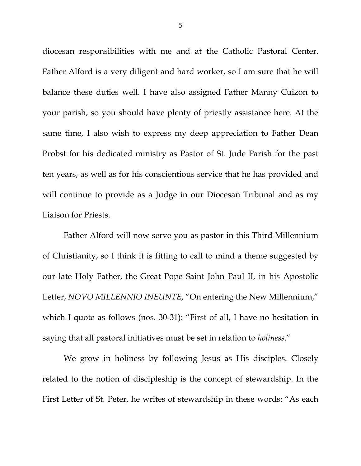diocesan responsibilities with me and at the Catholic Pastoral Center. Father Alford is a very diligent and hard worker, so I am sure that he will balance these duties well. I have also assigned Father Manny Cuizon to your parish, so you should have plenty of priestly assistance here. At the same time, I also wish to express my deep appreciation to Father Dean Probst for his dedicated ministry as Pastor of St. Jude Parish for the past ten years, as well as for his conscientious service that he has provided and will continue to provide as a Judge in our Diocesan Tribunal and as my Liaison for Priests.

Father Alford will now serve you as pastor in this Third Millennium of Christianity, so I think it is fitting to call to mind a theme suggested by our late Holy Father, the Great Pope Saint John Paul II, in his Apostolic Letter, *NOVO MILLENNIO INEUNTE*, "On entering the New Millennium," which I quote as follows (nos. 30-31): "First of all, I have no hesitation in saying that all pastoral initiatives must be set in relation to *holiness*."

We grow in holiness by following Jesus as His disciples. Closely related to the notion of discipleship is the concept of stewardship. In the First Letter of St. Peter, he writes of stewardship in these words: "As each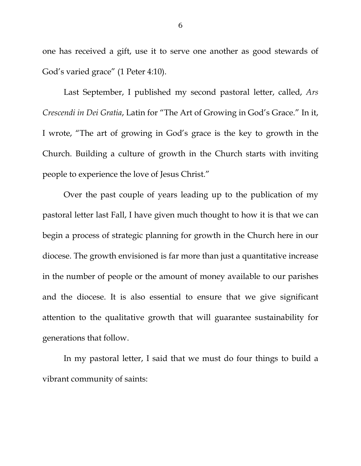one has received a gift, use it to serve one another as good stewards of God's varied grace" (1 Peter 4:10).

Last September, I published my second pastoral letter, called, *Ars Crescendi in Dei Gratia*, Latin for "The Art of Growing in God's Grace." In it, I wrote, "The art of growing in God's grace is the key to growth in the Church. Building a culture of growth in the Church starts with inviting people to experience the love of Jesus Christ."

Over the past couple of years leading up to the publication of my pastoral letter last Fall, I have given much thought to how it is that we can begin a process of strategic planning for growth in the Church here in our diocese. The growth envisioned is far more than just a quantitative increase in the number of people or the amount of money available to our parishes and the diocese. It is also essential to ensure that we give significant attention to the qualitative growth that will guarantee sustainability for generations that follow.

In my pastoral letter, I said that we must do four things to build a vibrant community of saints: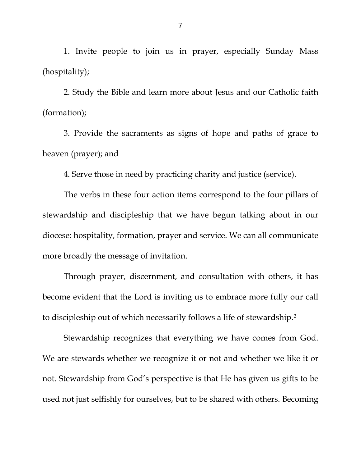1. Invite people to join us in prayer, especially Sunday Mass (hospitality);

2. Study the Bible and learn more about Jesus and our Catholic faith (formation);

3. Provide the sacraments as signs of hope and paths of grace to heaven (prayer); and

4. Serve those in need by practicing charity and justice (service).

The verbs in these four action items correspond to the four pillars of stewardship and discipleship that we have begun talking about in our diocese: hospitality, formation, prayer and service. We can all communicate more broadly the message of invitation.

Through prayer, discernment, and consultation with others, it has become evident that the Lord is inviting us to embrace more fully our call to discipleship out of which necessarily follows a life of stewardship.[2](#page-1-1) 

Stewardship recognizes that everything we have comes from God. We are stewards whether we recognize it or not and whether we like it or not. Stewardship from God's perspective is that He has given us gifts to be used not just selfishly for ourselves, but to be shared with others. Becoming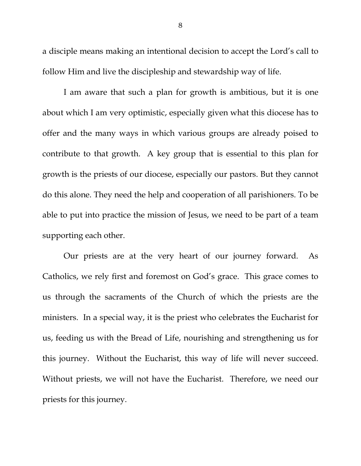a disciple means making an intentional decision to accept the Lord's call to follow Him and live the discipleship and stewardship way of life.

I am aware that such a plan for growth is ambitious, but it is one about which I am very optimistic, especially given what this diocese has to offer and the many ways in which various groups are already poised to contribute to that growth. A key group that is essential to this plan for growth is the priests of our diocese, especially our pastors. But they cannot do this alone. They need the help and cooperation of all parishioners. To be able to put into practice the mission of Jesus, we need to be part of a team supporting each other.

Our priests are at the very heart of our journey forward. As Catholics, we rely first and foremost on God's grace. This grace comes to us through the sacraments of the Church of which the priests are the ministers. In a special way, it is the priest who celebrates the Eucharist for us, feeding us with the Bread of Life, nourishing and strengthening us for this journey. Without the Eucharist, this way of life will never succeed. Without priests, we will not have the Eucharist. Therefore, we need our priests for this journey.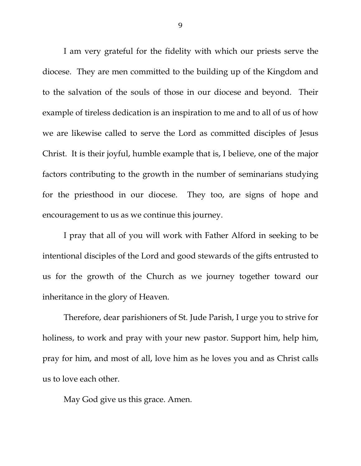I am very grateful for the fidelity with which our priests serve the diocese. They are men committed to the building up of the Kingdom and to the salvation of the souls of those in our diocese and beyond. Their example of tireless dedication is an inspiration to me and to all of us of how we are likewise called to serve the Lord as committed disciples of Jesus Christ. It is their joyful, humble example that is, I believe, one of the major factors contributing to the growth in the number of seminarians studying for the priesthood in our diocese. They too, are signs of hope and encouragement to us as we continue this journey.

I pray that all of you will work with Father Alford in seeking to be intentional disciples of the Lord and good stewards of the gifts entrusted to us for the growth of the Church as we journey together toward our inheritance in the glory of Heaven.

Therefore, dear parishioners of St. Jude Parish, I urge you to strive for holiness, to work and pray with your new pastor. Support him, help him, pray for him, and most of all, love him as he loves you and as Christ calls us to love each other.

May God give us this grace. Amen.

9